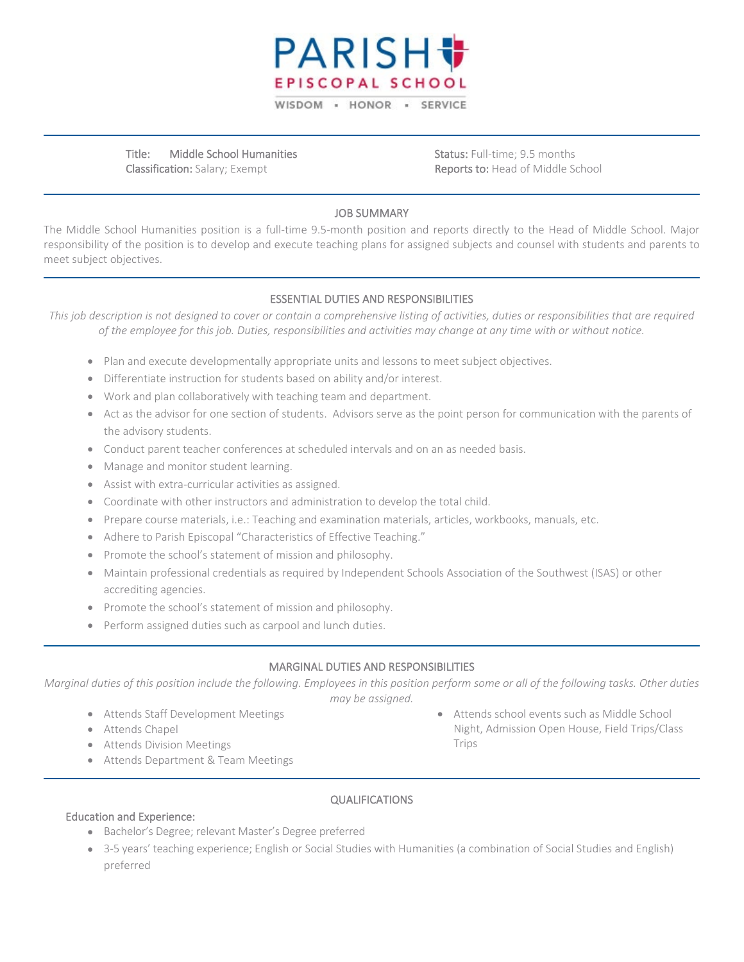

Title: Middle School Humanities Classification: Salary; Exempt

Status: Full-time; 9.5 months Reports to: Head of Middle School

### JOB SUMMARY

The Middle School Humanities position is a full-time 9.5-month position and reports directly to the Head of Middle School. Major responsibility of the position is to develop and execute teaching plans for assigned subjects and counsel with students and parents to meet subject objectives.

## ESSENTIAL DUTIES AND RESPONSIBILITIES

*This job description is not designed to cover or contain a comprehensive listing of activities, duties or responsibilities that are required of the employee for this job. Duties, responsibilities and activities may change at any time with or without notice.*

- Plan and execute developmentally appropriate units and lessons to meet subject objectives.
- Differentiate instruction for students based on ability and/or interest.
- Work and plan collaboratively with teaching team and department.
- Act as the advisor for one section of students. Advisors serve as the point person for communication with the parents of the advisory students.
- Conduct parent teacher conferences at scheduled intervals and on an as needed basis.
- Manage and monitor student learning.
- Assist with extra-curricular activities as assigned.
- Coordinate with other instructors and administration to develop the total child.
- Prepare course materials, i.e.: Teaching and examination materials, articles, workbooks, manuals, etc.
- Adhere to Parish Episcopal "Characteristics of Effective Teaching."
- Promote the school's statement of mission and philosophy.
- Maintain professional credentials as required by Independent Schools Association of the Southwest (ISAS) or other accrediting agencies.
- Promote the school's statement of mission and philosophy.
- Perform assigned duties such as carpool and lunch duties.

#### MARGINAL DUTIES AND RESPONSIBILITIES

*Marginal duties of this position include the following. Employees in this position perform some or all of the following tasks. Other duties may be assigned.*

- Attends Staff Development Meetings
- Attends Chapel
- Attends Division Meetings
- Attends Department & Team Meetings

• Attends school events such as Middle School Night, Admission Open House, Field Trips/Class Trips

#### QUALIFICATIONS

#### Education and Experience:

- Bachelor's Degree; relevant Master's Degree preferred
- 3-5 years' teaching experience; English or Social Studies with Humanities (a combination of Social Studies and English) preferred